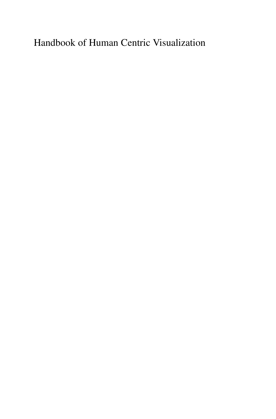Handbook of Human Centric Visualization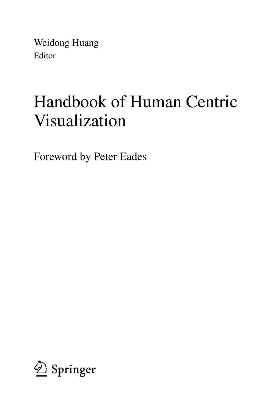Weidong Huang Editor

# Handbook of Human Centric Visualization

Foreword by Peter Eades

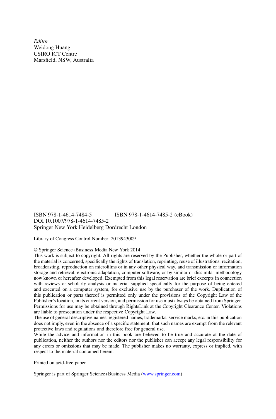*Editor* Weidong Huang CSIRO ICT Centre Marsfield, NSW, Australia

ISBN 978-1-4614-7484-5 ISBN 978-1-4614-7485-2 (eBook) DOI 10.1007/978-1-4614-7485-2 Springer New York Heidelberg Dordrecht London

Library of Congress Control Number: 2013943009

#### © Springer Science+Business Media New York 2014

This work is subject to copyright. All rights are reserved by the Publisher, whether the whole or part of the material is concerned, specifically the rights of translation, reprinting, reuse of illustrations, recitation, broadcasting, reproduction on microfilms or in any other physical way, and transmission or information storage and retrieval, electronic adaptation, computer software, or by similar or dissimilar methodology now known or hereafter developed. Exempted from this legal reservation are brief excerpts in connection with reviews or scholarly analysis or material supplied specifically for the purpose of being entered and executed on a computer system, for exclusive use by the purchaser of the work. Duplication of this publication or parts thereof is permitted only under the provisions of the Copyright Law of the Publisher's location, in its current version, and permission for use must always be obtained from Springer. Permissions for use may be obtained through RightsLink at the Copyright Clearance Center. Violations are liable to prosecution under the respective Copyright Law.

The use of general descriptive names, registered names, trademarks, service marks, etc. in this publication does not imply, even in the absence of a specific statement, that such names are exempt from the relevant protective laws and regulations and therefore free for general use.

While the advice and information in this book are believed to be true and accurate at the date of publication, neither the authors nor the editors nor the publisher can accept any legal responsibility for any errors or omissions that may be made. The publisher makes no warranty, express or implied, with respect to the material contained herein.

Printed on acid-free paper

Springer is part of Springer Science+Business Media [\(www.springer.com\)](www.springer.com)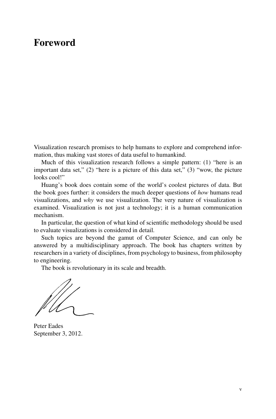#### **Foreword**

Visualization research promises to help humans to explore and comprehend information, thus making vast stores of data useful to humankind.

Much of this visualization research follows a simple pattern: (1) "here is an important data set," (2) "here is a picture of this data set," (3) "wow, the picture looks cool!"

Huang's book does contain some of the world's coolest pictures of data. But the book goes further: it considers the much deeper questions of *how* humans read visualizations, and *why* we use visualization. The very nature of visualization is examined. Visualization is not just a technology; it is a human communication mechanism.

In particular, the question of what kind of scientific methodology should be used to evaluate visualizations is considered in detail.

Such topics are beyond the gamut of Computer Science, and can only be answered by a multidisciplinary approach. The book has chapters written by researchers in a variety of disciplines, from psychology to business, from philosophy to engineering.

The book is revolutionary in its scale and breadth.

Peter Eades September 3, 2012.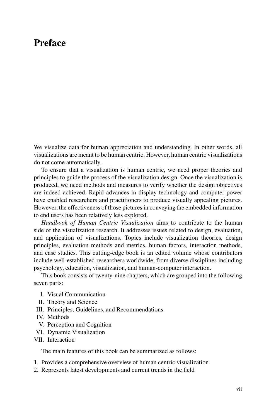#### **Preface**

We visualize data for human appreciation and understanding. In other words, all visualizations are meant to be human centric. However, human centric visualizations do not come automatically.

To ensure that a visualization is human centric, we need proper theories and principles to guide the process of the visualization design. Once the visualization is produced, we need methods and measures to verify whether the design objectives are indeed achieved. Rapid advances in display technology and computer power have enabled researchers and practitioners to produce visually appealing pictures. However, the effectiveness of those pictures in conveying the embedded information to end users has been relatively less explored.

*Handbook of Human Centric Visualization* aims to contribute to the human side of the visualization research. It addresses issues related to design, evaluation, and application of visualizations. Topics include visualization theories, design principles, evaluation methods and metrics, human factors, interaction methods, and case studies. This cutting-edge book is an edited volume whose contributors include well-established researchers worldwide, from diverse disciplines including psychology, education, visualization, and human-computer interaction.

This book consists of twenty-nine chapters, which are grouped into the following seven parts:

- I. Visual Communication
- II. Theory and Science
- III. Principles, Guidelines, and Recommendations
- IV. Methods
- V. Perception and Cognition
- VI. Dynamic Visualization

VII. Interaction

The main features of this book can be summarized as follows:

- 1. Provides a comprehensive overview of human centric visualization
- 2. Represents latest developments and current trends in the field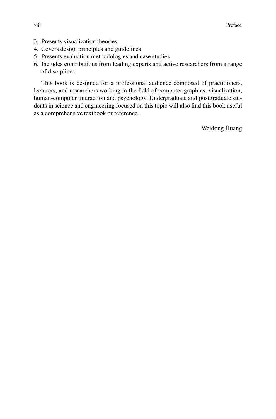- 3. Presents visualization theories
- 4. Covers design principles and guidelines
- 5. Presents evaluation methodologies and case studies
- 6. Includes contributions from leading experts and active researchers from a range of disciplines

This book is designed for a professional audience composed of practitioners, lecturers, and researchers working in the field of computer graphics, visualization, human-computer interaction and psychology. Undergraduate and postgraduate students in science and engineering focused on this topic will also find this book useful as a comprehensive textbook or reference.

Weidong Huang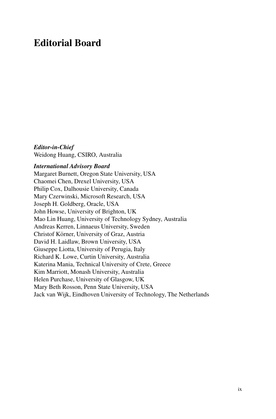### **Editorial Board**

*Editor-in-Chief* Weidong Huang, CSIRO, Australia

#### *International Advisory Board*

Margaret Burnett, Oregon State University, USA Chaomei Chen, Drexel University, USA Philip Cox, Dalhousie University, Canada Mary Czerwinski, Microsoft Research, USA Joseph H. Goldberg, Oracle, USA John Howse, University of Brighton, UK Mao Lin Huang, University of Technology Sydney, Australia Andreas Kerren, Linnaeus University, Sweden Christof Körner, University of Graz, Austria David H. Laidlaw, Brown University, USA Giuseppe Liotta, University of Perugia, Italy Richard K. Lowe, Curtin University, Australia Katerina Mania, Technical University of Crete, Greece Kim Marriott, Monash University, Australia Helen Purchase, University of Glasgow, UK Mary Beth Rosson, Penn State University, USA Jack van Wijk, Eindhoven University of Technology, The Netherlands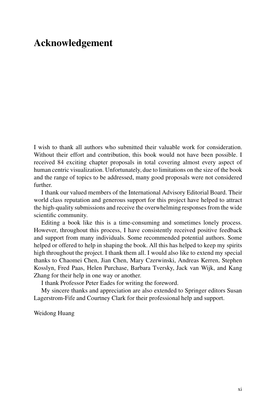## **Acknowledgement**

I wish to thank all authors who submitted their valuable work for consideration. Without their effort and contribution, this book would not have been possible. I received 84 exciting chapter proposals in total covering almost every aspect of human centric visualization. Unfortunately, due to limitations on the size of the book and the range of topics to be addressed, many good proposals were not considered further.

I thank our valued members of the International Advisory Editorial Board. Their world class reputation and generous support for this project have helped to attract the high-quality submissions and receive the overwhelming responses from the wide scientific community.

Editing a book like this is a time-consuming and sometimes lonely process. However, throughout this process, I have consistently received positive feedback and support from many individuals. Some recommended potential authors. Some helped or offered to help in shaping the book. All this has helped to keep my spirits high throughout the project. I thank them all. I would also like to extend my special thanks to Chaomei Chen, Jian Chen, Mary Czerwinski, Andreas Kerren, Stephen Kosslyn, Fred Paas, Helen Purchase, Barbara Tversky, Jack van Wijk, and Kang Zhang for their help in one way or another.

I thank Professor Peter Eades for writing the foreword.

My sincere thanks and appreciation are also extended to Springer editors Susan Lagerstrom-Fife and Courtney Clark for their professional help and support.

Weidong Huang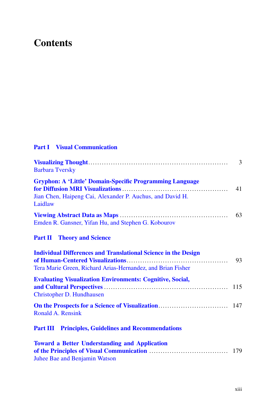# **Contents**

#### **[Part I Visual Communication](#page--1-0)**

[Juhee Bae and Benjamin Watson](#page--1-0)

| <b>Barbara Tversky</b>                                                                                                                  | 3  |
|-----------------------------------------------------------------------------------------------------------------------------------------|----|
| <b>Gryphon: A 'Little' Domain-Specific Programming Language</b><br>Jian Chen, Haipeng Cai, Alexander P. Auchus, and David H.<br>Laidlaw | 41 |
| Emden R. Gansner, Yifan Hu, and Stephen G. Kobourov                                                                                     | 63 |
| <b>Part II</b> Theory and Science                                                                                                       |    |
| <b>Individual Differences and Translational Science in the Design</b><br>Tera Marie Green, Richard Arias-Hernandez, and Brian Fisher    | 93 |
| <b>Evaluating Visualization Environments: Cognitive, Social,</b><br>Christopher D. Hundhausen                                           |    |
| Ronald A. Rensink                                                                                                                       |    |
| <b>Part III Principles, Guidelines and Recommendations</b>                                                                              |    |
| <b>Toward a Better Understanding and Application</b>                                                                                    |    |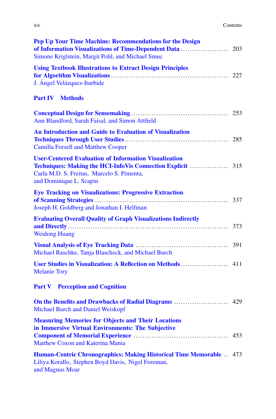| <b>Pep Up Your Time Machine: Recommendations for the Design</b><br>Simone Kriglstein, Margit Pohl, and Michael Smuc                                |     |
|----------------------------------------------------------------------------------------------------------------------------------------------------|-----|
| <b>Using Textbook Illustrations to Extract Design Principles</b><br>J. Ángel Velázquez-Iturbide                                                    |     |
| <b>Part IV Methods</b>                                                                                                                             |     |
| Ann Blandford, Sarah Faisal, and Simon Attfield                                                                                                    |     |
| An Introduction and Guide to Evaluation of Visualization<br><b>Camilla Forsell and Matthew Cooper</b>                                              |     |
| <b>User-Centered Evaluation of Information Visualization</b><br>Carla M.D. S. Freitas, Marcelo S. Pimenta,<br>and Dominique L. Scapin              |     |
| <b>Eye Tracking on Visualizations: Progressive Extraction</b><br>Joseph H. Goldberg and Jonathan I. Helfman                                        |     |
| <b>Evaluating Overall Quality of Graph Visualizations Indirectly</b><br><b>Weidong Huang</b>                                                       |     |
| Michael Raschke, Tanja Blascheck, and Michael Burch                                                                                                | 391 |
| <b>Melanie Tory</b>                                                                                                                                |     |
| <b>Part V</b> Perception and Cognition                                                                                                             |     |
| Michael Burch and Daniel Weiskopf                                                                                                                  |     |
| <b>Measuring Memories for Objects and Their Locations</b><br>in Immersive Virtual Environments: The Subjective<br>Matthew Coxon and Katerina Mania | 453 |
| <b>Human-Centric Chronographics: Making Historical Time Memorable</b><br>Liliya Korallo, Stephen Boyd Davis, Nigel Foreman,<br>and Magnus Moar     | 473 |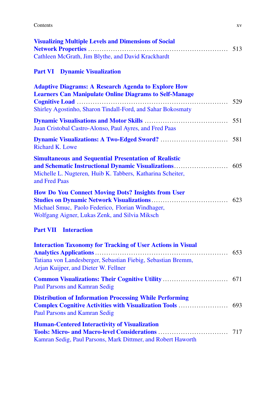Contents xv

| <b>Visualizing Multiple Levels and Dimensions of Social</b> |  |
|-------------------------------------------------------------|--|
|                                                             |  |
| Cathleen McGrath, Jim Blythe, and David Krackhardt          |  |

#### **[Part VI Dynamic Visualization](#page--1-0)**

| <b>Adaptive Diagrams: A Research Agenda to Explore How</b><br><b>Learners Can Manipulate Online Diagrams to Self-Manage</b>                                                |  |
|----------------------------------------------------------------------------------------------------------------------------------------------------------------------------|--|
| Shirley Agostinho, Sharon Tindall-Ford, and Sahar Bokosmaty                                                                                                                |  |
| Juan Cristobal Castro-Alonso, Paul Ayres, and Fred Paas                                                                                                                    |  |
| Richard K. Lowe                                                                                                                                                            |  |
| <b>Simultaneous and Sequential Presentation of Realistic</b><br>Michelle L. Nugteren, Huib K. Tabbers, Katharina Scheiter,<br>and Fred Paas                                |  |
| <b>How Do You Connect Moving Dots? Insights from User</b><br>Michael Smuc, Paolo Federico, Florian Windhager,<br>Wolfgang Aigner, Lukas Zenk, and Silvia Miksch            |  |
| <b>Part VII Interaction</b>                                                                                                                                                |  |
| <b>Interaction Taxonomy for Tracking of User Actions in Visual</b><br>Tatiana von Landesberger, Sebastian Fiebig, Sebastian Bremm,<br>Arjan Kuijper, and Dieter W. Fellner |  |
| Paul Parsons and Kamran Sedig                                                                                                                                              |  |
| <b>Distribution of Information Processing While Performing</b><br>Paul Parsons and Kamran Sedig                                                                            |  |
| <b>Human-Centered Interactivity of Visualization</b><br>Kamran Sedig, Paul Parsons, Mark Dittmer, and Robert Haworth                                                       |  |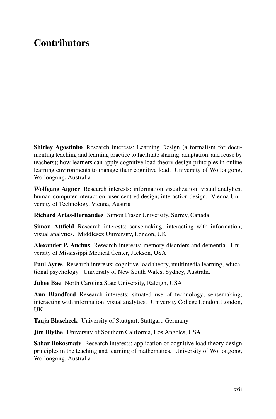## **Contributors**

**Shirley Agostinho** Research interests: Learning Design (a formalism for documenting teaching and learning practice to facilitate sharing, adaptation, and reuse by teachers); how learners can apply cognitive load theory design principles in online learning environments to manage their cognitive load. University of Wollongong, Wollongong, Australia

**Wolfgang Aigner** Research interests: information visualization; visual analytics; human-computer interaction; user-centred design; interaction design. Vienna University of Technology, Vienna, Austria

**Richard Arias-Hernandez** Simon Fraser University, Surrey, Canada

**Simon Attfield** Research interests: sensemaking; interacting with information; visual analytics. Middlesex University, London, UK

**Alexander P. Auchus** Research interests: memory disorders and dementia. University of Mississippi Medical Center, Jackson, USA

**Paul Ayres** Research interests: cognitive load theory, multimedia learning, educational psychology. University of New South Wales, Sydney, Australia

**Juhee Bae** North Carolina State University, Raleigh, USA

**Ann Blandford** Research interests: situated use of technology; sensemaking; interacting with information; visual analytics. University College London, London, UK

**Tanja Blascheck** University of Stuttgart, Stuttgart, Germany

**Jim Blythe** University of Southern California, Los Angeles, USA

**Sahar Bokosmaty** Research interests: application of cognitive load theory design principles in the teaching and learning of mathematics. University of Wollongong, Wollongong, Australia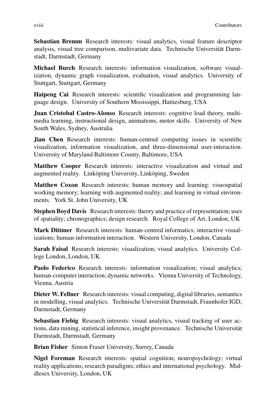**Sebastian Bremm** Research interests: visual analytics, visual feature descriptor analysis, visual tree comparison, multivariate data. Technische Universitat Darm- ¨ stadt, Darmstadt, Germany

**Michael Burch** Research interests: information visualization, software visualization, dynamic graph visualization, evaluation, visual analytics. University of Stuttgart, Stuttgart, Germany

**Haipeng Cai** Research interests: scientific visualization and programming language design. University of Southern Mississippi, Hattiesburg, USA

**Juan Cristobal Castro-Alonso** Research interests: cognitive load theory, multimedia learning, instructional design, animations, motor skills. University of New South Wales, Sydney, Australia

**Jian Chen** Research interests: human-centred computing issues in scientific visualization, information visualization, and three-dimensional user-interaction. University of Maryland Baltimore County, Baltimore, USA

**Matthew Cooper** Research interests: interactive visualization and virtual and augmented reality. Linköping University, Linköping, Sweden

**Matthew Coxon** Research interests: human memory and learning: visuospatial working memory; learning with augmented reality; and learning in virtual environments. York St. John University, UK

**Stephen Boyd Davis** Research interests: theory and practice of representation; uses of spatiality; chronographics; design research. Royal College of Art, London, UK

**Mark Dittmer** Research interests: human-centred informatics; interactive visualizations; human-information interaction. Western University, London, Canada

**Sarah Faisal** Research interests: visualization; visual analytics. University College London, London, UK

**Paolo Federico** Research interests: information visualization; visual analytics; human-computer interaction; dynamic networks. Vienna University of Technology, Vienna, Austria

**Dieter W. Fellner** Research interests: visual computing, digital libraries, semantics in modelling, visual analytics. Technische Universitat Darmstadt, Fraunhofer IGD, ¨ Darmstadt, Germany

**Sebastian Fiebig** Research interests: visual analytics, visual tracking of user actions, data mining, statistical inference, insight provenance. Technische Universität Darmstadt, Darmstadt, Germany

**Brian Fisher** Simon Fraser University, Surrey, Canada

**Nigel Foreman** Research interests: spatial cognition; neuropsychology; virtual reality applications; research paradigms; ethics and international psychology. Middlesex University, London, UK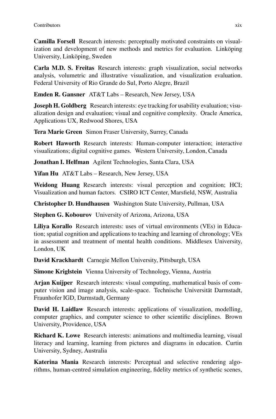**Camilla Forsell** Research interests: perceptually motivated constraints on visualization and development of new methods and metrics for evaluation. Linkoping University, Linköping, Sweden

**Carla M.D. S. Freitas** Research interests: graph visualization, social networks analysis, volumetric and illustrative visualization, and visualization evaluation. Federal University of Rio Grande do Sul, Porto Alegre, Brazil

**Emden R. Gansner** AT&T Labs – Research, New Jersey, USA

**Joseph H. Goldberg** Research interests: eye tracking for usability evaluation; visualization design and evaluation; visual and cognitive complexity. Oracle America, Applications UX, Redwood Shores, USA

**Tera Marie Green** Simon Fraser University, Surrey, Canada

**Robert Haworth** Research interests: Human-computer interaction; interactive visualizations; digital cognitive games. Western University, London, Canada

**Jonathan I. Helfman** Agilent Technologies, Santa Clara, USA

**Yifan Hu** AT&T Labs – Research, New Jersey, USA

**Weidong Huang** Research interests: visual perception and cognition; HCI; Visualization and human factors. CSIRO ICT Center, Marsfield, NSW, Australia

**Christopher D. Hundhausen** Washington State University, Pullman, USA

**Stephen G. Kobourov** University of Arizona, Arizona, USA

**Liliya Korallo** Research interests: uses of virtual environments (VEs) in Education; spatial cognition and applications to teaching and learning of chronology; VEs in assessment and treatment of mental health conditions. Middlesex University, London, UK

**David Krackhardt** Carnegie Mellon University, Pittsburgh, USA

**Simone Kriglstein** Vienna University of Technology, Vienna, Austria

**Arjan Kuijper** Research interests: visual computing, mathematical basis of computer vision and image analysis, scale-space. Technische Universität Darmstadt, Fraunhofer IGD, Darmstadt, Germany

**David H. Laidlaw** Research interests: applications of visualization, modelling, computer graphics, and computer science to other scientific disciplines. Brown University, Providence, USA

**Richard K. Lowe** Research interests: animations and multimedia learning, visual literacy and learning, learning from pictures and diagrams in education. Curtin University, Sydney, Australia

**Katerina Mania** Research interests: Perceptual and selective rendering algorithms, human-centred simulation engineering, fidelity metrics of synthetic scenes,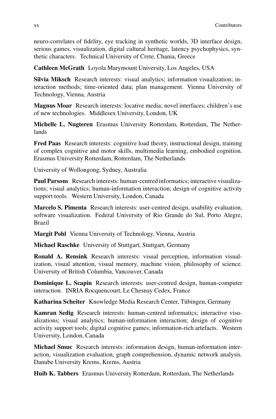neuro-correlates of fidelity, eye tracking in synthetic worlds, 3D interface design, serious games, visualization, digital cultural heritage, latency psychophysics, synthetic characters. Technical University of Crete, Chania, Greece

**Cathleen McGrath** Loyola Marymount University, Los Angeles, USA

**Silvia Miksch** Research interests: visual analytics; information visualization; interaction methods; time-oriented data; plan management. Vienna University of Technology, Vienna, Austria

**Magnus Moar** Research interests: locative media; novel interfaces; children's use of new technologies. Middlesex University, London, UK

**Michelle L. Nugteren** Erasmus University Rotterdam, Rotterdam, The Netherlands

**Fred Paas** Research interests: cognitive load theory, instructional design, training of complex cognitive and motor skills, multimedia learning, embodied cognition. Erasmus University Rotterdam, Rotterdam, The Netherlands

University of Wollongong, Sydney, Australia

**Paul Parsons** Research interests: human-centred informatics; interactive visualizations; visual analytics; human-information interaction; design of cognitive activity support tools. Western University, London, Canada

**Marcelo S. Pimenta** Research interests: user-centred design, usability evaluation, software visualization. Federal University of Rio Grande do Sul, Porto Alegre, Brazil

**Margit Pohl** Vienna University of Technology, Vienna, Austria

**Michael Raschke** University of Stuttgart, Stuttgart, Germany

**Ronald A. Rensink** Research interests: visual perception, information visualization, visual attention, visual memory, machine vision, philosophy of science. University of British Columbia, Vancouver, Canada

**Dominique L. Scapin** Research interests: user-centred design, human-computer interaction. INRIA Rocquencourt, Le Chesnay Cedex, France

Katharina Scheiter Knowledge Media Research Center, Tübingen, Germany

**Kamran Sedig** Research interests: human-centred informatics; interactive visualizations; visual analytics; human-information interaction; design of cognitive activity support tools; digital cognitive games; information-rich artefacts. Western University, London, Canada

**Michael Smuc** Research interests: information design, human-information interaction, visualization evaluation, graph comprehension, dynamic network analysis. Danube University Krems, Krems, Austria

**Huib K. Tabbers** Erasmus University Rotterdam, Rotterdam, The Netherlands